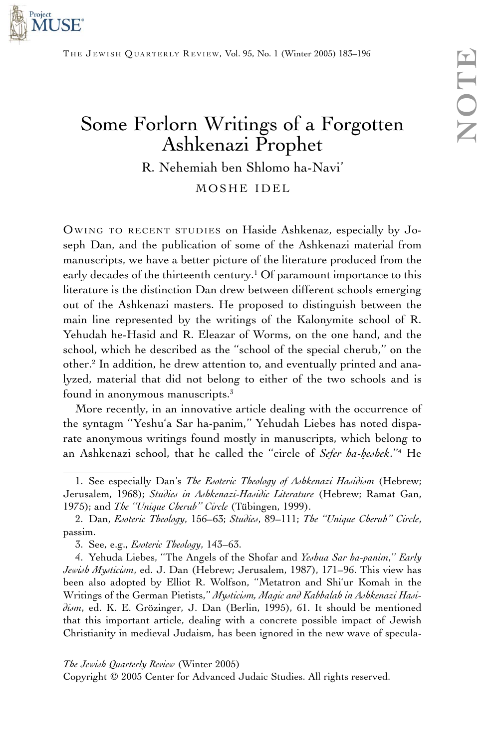

THE JEWISH OUARTERLY REVIEW, Vol. 95, No. 1 (Winter 2005) 183-196

# Some Forlorn Writings of a Forgotten Ashkenazi Prophet

R. Nehemiah ben Shlomo ha-Navi'

MOSHE IDEL

OWING TO RECENT STUDIES on Haside Ashkenaz, especially by Joseph Dan, and the publication of some of the Ashkenazi material from manuscripts, we have a better picture of the literature produced from the early decades of the thirteenth century.<sup>1</sup> Of paramount importance to this literature is the distinction Dan drew between different schools emerging out of the Ashkenazi masters. He proposed to distinguish between the main line represented by the writings of the Kalonymite school of R. Yehudah he-Hasid and R. Eleazar of Worms, on the one hand, and the school, which he described as the ''school of the special cherub,'' on the other.2 In addition, he drew attention to, and eventually printed and analyzed, material that did not belong to either of the two schools and is found in anonymous manuscripts.<sup>3</sup>

More recently, in an innovative article dealing with the occurrence of the syntagm ''Yeshu'a Sar ha-panim,'' Yehudah Liebes has noted disparate anonymous writings found mostly in manuscripts, which belong to an Ashkenazi school, that he called the "circle of *Sefer ha-heshek*."<sup>4</sup> He

*The Jewish Quarterly Review* (Winter 2005)

Copyright © 2005 Center for Advanced Judaic Studies. All rights reserved.

<sup>1.</sup> See especially Dan's *The Esoteric Theology of Ashkenazi Hasidism* (Hebrew; Jerusalem, 1968); *Studies in Ashkenazi-Hasidic Literature* (Hebrew; Ramat Gan, 1975); and *The "Unique Cherub" Circle* (Tübingen, 1999).

<sup>2.</sup> Dan, *Esoteric Theology*, 156–63; *Studies*, 89–111; *The ''Unique Cherub'' Circle*, passim.

<sup>3.</sup> See, e.g., *Esoteric Theology*, 143–63.

<sup>4.</sup> Yehuda Liebes, ''The Angels of the Shofar and *Yeshua Sar ha-panim*,'' *Early Jewish Mysticism*, ed. J. Dan (Hebrew; Jerusalem, 1987), 171–96. This view has been also adopted by Elliot R. Wolfson, ''Metatron and Shi'ur Komah in the Writings of the German Pietists,'' *Mysticism, Magic and Kabbalah in Ashkenazi Hasi-* $\partial \omega m$ , ed. K. E. Grözinger, J. Dan (Berlin, 1995), 61. It should be mentioned that this important article, dealing with a concrete possible impact of Jewish Christianity in medieval Judaism, has been ignored in the new wave of specula-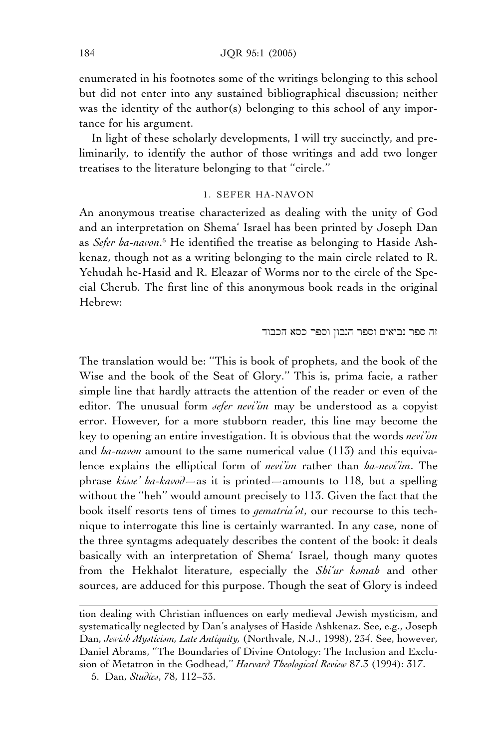enumerated in his footnotes some of the writings belonging to this school but did not enter into any sustained bibliographical discussion; neither was the identity of the author(s) belonging to this school of any importance for his argument.

In light of these scholarly developments, I will try succinctly, and preliminarily, to identify the author of those writings and add two longer treatises to the literature belonging to that ''circle.''

## 1. SEFER HA-NAVON

An anonymous treatise characterized as dealing with the unity of God and an interpretation on Shema' Israel has been printed by Joseph Dan as *Sefer ha-navon*. <sup>5</sup> He identified the treatise as belonging to Haside Ashkenaz, though not as a writing belonging to the main circle related to R. Yehudah he-Hasid and R. Eleazar of Worms nor to the circle of the Special Cherub. The first line of this anonymous book reads in the original Hebrew:

ה ספר נביאים וספר הנבון וספר כסא הכבוד

The translation would be: ''This is book of prophets, and the book of the Wise and the book of the Seat of Glory.'' This is, prima facie, a rather simple line that hardly attracts the attention of the reader or even of the editor. The unusual form *sefer nevi'im* may be understood as a copyist error. However, for a more stubborn reader, this line may become the key to opening an entire investigation. It is obvious that the words *nevi'im* and *ha-navon* amount to the same numerical value (113) and this equivalence explains the elliptical form of *nevi'im* rather than *ha-nevi'im*. The phrase *kisse' ha-kavod*—as it is printed—amounts to 118, but a spelling without the "heh" would amount precisely to 113. Given the fact that the book itself resorts tens of times to *gematria'ot*, our recourse to this technique to interrogate this line is certainly warranted. In any case, none of the three syntagms adequately describes the content of the book: it deals basically with an interpretation of Shema' Israel, though many quotes from the Hekhalot literature, especially the *Shi'ur komah* and other sources, are adduced for this purpose. Though the seat of Glory is indeed

tion dealing with Christian influences on early medieval Jewish mysticism, and systematically neglected by Dan's analyses of Haside Ashkenaz. See, e.g., Joseph Dan, *Jewish Mysticism, Late Antiquity,* (Northvale, N.J., 1998), 234. See, however, Daniel Abrams, ''The Boundaries of Divine Ontology: The Inclusion and Exclusion of Metatron in the Godhead,'' *Harvard Theological Review* 87.3 (1994): 317.

<sup>5.</sup> Dan, *Studies*, 78, 112–33.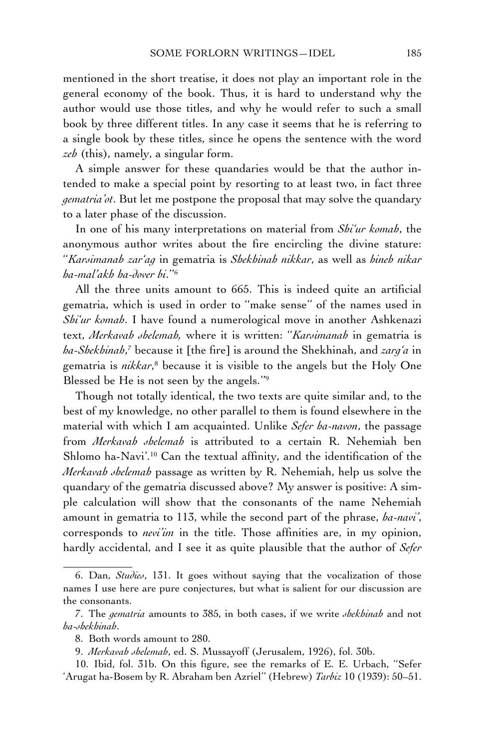mentioned in the short treatise, it does not play an important role in the general economy of the book. Thus, it is hard to understand why the author would use those titles, and why he would refer to such a small book by three different titles. In any case it seems that he is referring to a single book by these titles, since he opens the sentence with the word *zeh* (this), namely, a singular form.

A simple answer for these quandaries would be that the author intended to make a special point by resorting to at least two, in fact three *gematria'ot*. But let me postpone the proposal that may solve the quandary to a later phase of the discussion.

In one of his many interpretations on material from *Shi'ur komah*, the anonymous author writes about the fire encircling the divine stature: ''*Karsimanah zar'ag* in gematria is *Shekhinah nikkar*, as well as *hineh nikar ha-mal'akh ha-dover bi*.''6

All the three units amount to 665. This is indeed quite an artificial gematria, which is used in order to ''make sense'' of the names used in *Shi'ur komah*. I have found a numerological move in another Ashkenazi text, *Merkavah shelemah,* where it is written: ''*Karsimanah* in gematria is *ha-Shekhinah*, <sup>7</sup> because it [the fire] is around the Shekhinah, and *zarg'a* in gematria is *nikkar*, <sup>8</sup> because it is visible to the angels but the Holy One Blessed be He is not seen by the angels.''9

Though not totally identical, the two texts are quite similar and, to the best of my knowledge, no other parallel to them is found elsewhere in the material with which I am acquainted. Unlike *Sefer ha-navon*, the passage from *Merkavah shelemah* is attributed to a certain R. Nehemiah ben Shlomo ha-Navi'.<sup>10</sup> Can the textual affinity, and the identification of the *Merkavah shelemah* passage as written by R. Nehemiah, help us solve the quandary of the gematria discussed above? My answer is positive: A simple calculation will show that the consonants of the name Nehemiah amount in gematria to 113, while the second part of the phrase, *ha-navi'*, corresponds to *nevi'im* in the title. Those affinities are, in my opinion, hardly accidental, and I see it as quite plausible that the author of *Sefer*

<sup>6.</sup> Dan, *Studies*, 131. It goes without saying that the vocalization of those names I use here are pure conjectures, but what is salient for our discussion are the consonants.

<sup>7.</sup> The *gematria* amounts to 385, in both cases, if we write *shekhinah* and not *ha-shekhinah*.

<sup>8.</sup> Both words amount to 280.

<sup>9.</sup> *Merkavah shelemah*, ed. S. Mussayoff (Jerusalem, 1926), fol. 30b.

<sup>10.</sup> Ibid, fol. 31b. On this figure, see the remarks of E. E. Urbach, ''Sefer 'Arugat ha-Bosem by R. Abraham ben Azriel'' (Hebrew) *Tarbiz* 10 (1939): 50–51.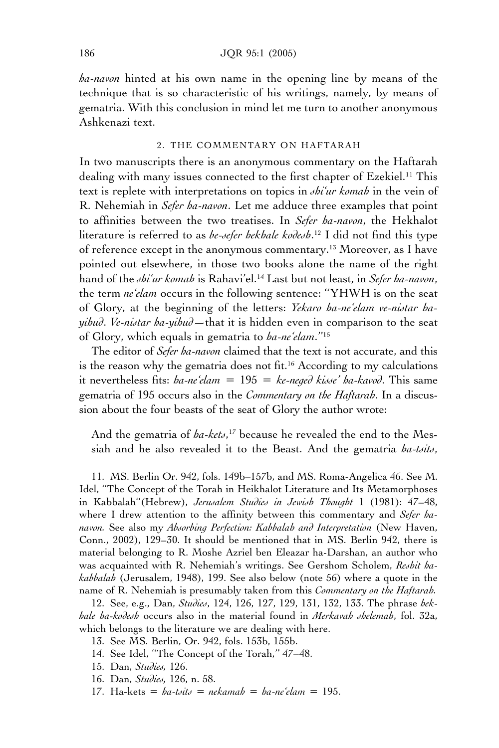*ha-navon* hinted at his own name in the opening line by means of the technique that is so characteristic of his writings, namely, by means of gematria. With this conclusion in mind let me turn to another anonymous Ashkenazi text.

## 2. THE COMMENTARY ON HAFTARAH

In two manuscripts there is an anonymous commentary on the Haftarah dealing with many issues connected to the first chapter of Ezekiel.<sup>11</sup> This text is replete with interpretations on topics in *shi'ur komah* in the vein of R. Nehemiah in *Sefer ha-navon*. Let me adduce three examples that point to affinities between the two treatises. In *Sefer ha-navon*, the Hekhalot literature is referred to as *be-sefer hekhale kodesh*. <sup>12</sup> I did not find this type of reference except in the anonymous commentary.13 Moreover, as I have pointed out elsewhere, in those two books alone the name of the right hand of the *shi'ur komah* is Rahavi'el.14 Last but not least, in *Sefer ha-navon*, the term *ne'elam* occurs in the following sentence: ''YHWH is on the seat of Glory, at the beginning of the letters: *Yekaro ha-ne'elam ve-nistar hayihud*. *Ve-nistar ha-yihud*—that it is hidden even in comparison to the seat of Glory, which equals in gematria to *ha-ne'elam*.''15

The editor of *Sefer ha-navon* claimed that the text is not accurate, and this is the reason why the gematria does not fit.<sup>16</sup> According to my calculations it nevertheless fits: *ha-ne'elam* = 195 = *ke-neged kisse' ha-kavod*. This same gematria of 195 occurs also in the *Commentary on the Haftarah*. In a discussion about the four beasts of the seat of Glory the author wrote:

And the gematria of *ha-kets*, <sup>17</sup> because he revealed the end to the Messiah and he also revealed it to the Beast. And the gematria *ha-tsits*,

14. See Idel, ''The Concept of the Torah,'' 47–48.

- 16. Dan, *Studies,* 126, n. 58.
- $17.$  Ha-kets =  $ba$ -tsits = nekamah =  $ba$ -ne'elam = 195.

<sup>11.</sup> MS. Berlin Or. 942, fols. 149b–157b, and MS. Roma-Angelica 46. See M. Idel, ''The Concept of the Torah in Heikhalot Literature and Its Metamorphoses in Kabbalah''(Hebrew), *Jerusalem Studies in Jewish Thought* 1 (1981): 47–48, where I drew attention to the affinity between this commentary and *Sefer hanavon.* See also my *Absorbing Perfection: Kabbalah and Interpretation* (New Haven, Conn., 2002), 129–30. It should be mentioned that in MS. Berlin 942, there is material belonging to R. Moshe Azriel ben Eleazar ha-Darshan, an author who was acquainted with R. Nehemiah's writings. See Gershom Scholem, *Reshit hakabbalah* (Jerusalem, 1948), 199. See also below (note 56) where a quote in the name of R. Nehemiah is presumably taken from this *Commentary on the Haftarah.*

<sup>12.</sup> See, e.g., Dan, *Studies*, 124, 126, 127, 129, 131, 132, 133. The phrase *hekhale ha-kodesh* occurs also in the material found in *Merkavah shelemah*, fol. 32a, which belongs to the literature we are dealing with here.

<sup>13.</sup> See MS. Berlin, Or. 942, fols. 153b, 155b.

<sup>15.</sup> Dan, *Studies,* 126.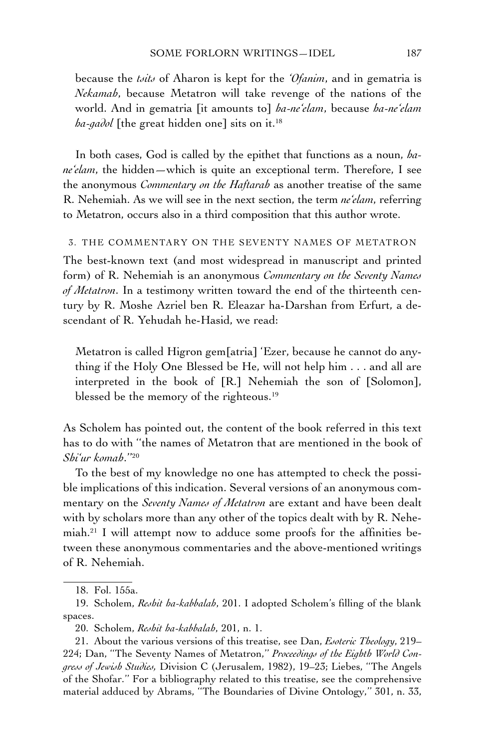because the *tsits* of Aharon is kept for the *'Ofanim*, and in gematria is *Nekamah*, because Metatron will take revenge of the nations of the world. And in gematria [it amounts to] *ha-ne'elam*, because *ha-ne'elam ha-gadol* [the great hidden one] sits on it.18

In both cases, God is called by the epithet that functions as a noun, *hane'elam*, the hidden—which is quite an exceptional term. Therefore, I see the anonymous *Commentary on the Haftarah* as another treatise of the same R. Nehemiah. As we will see in the next section, the term *ne'elam*, referring to Metatron, occurs also in a third composition that this author wrote.

## 3. THE COMMENTARY ON THE SEVENTY NAMES OF METATRON

The best-known text (and most widespread in manuscript and printed form) of R. Nehemiah is an anonymous *Commentary on the Seventy Names of Metatron*. In a testimony written toward the end of the thirteenth century by R. Moshe Azriel ben R. Eleazar ha-Darshan from Erfurt, a descendant of R. Yehudah he-Hasid, we read:

Metatron is called Higron gem[atria] 'Ezer, because he cannot do anything if the Holy One Blessed be He, will not help him . . . and all are interpreted in the book of [R.] Nehemiah the son of [Solomon], blessed be the memory of the righteous.<sup>19</sup>

As Scholem has pointed out, the content of the book referred in this text has to do with ''the names of Metatron that are mentioned in the book of *Shi'ur komah*.''20

To the best of my knowledge no one has attempted to check the possible implications of this indication. Several versions of an anonymous commentary on the *Seventy Names of Metatron* are extant and have been dealt with by scholars more than any other of the topics dealt with by R. Nehemiah.21 I will attempt now to adduce some proofs for the affinities between these anonymous commentaries and the above-mentioned writings of R. Nehemiah.

<sup>18.</sup> Fol. 155a.

<sup>19.</sup> Scholem, *Reshit ha-kabbalah*, 201. I adopted Scholem's filling of the blank spaces.

<sup>20.</sup> Scholem, *Reshit ha-kabbalah*, 201, n. 1.

<sup>21.</sup> About the various versions of this treatise, see Dan, *Esoteric Theology*, 219– 224; Dan, ''The Seventy Names of Metatron,'' *Proceedings of the Eighth World Congress of Jewish Studies,* Division C (Jerusalem, 1982), 19–23; Liebes, ''The Angels of the Shofar.'' For a bibliography related to this treatise, see the comprehensive material adduced by Abrams, ''The Boundaries of Divine Ontology,'' 301, n. 33,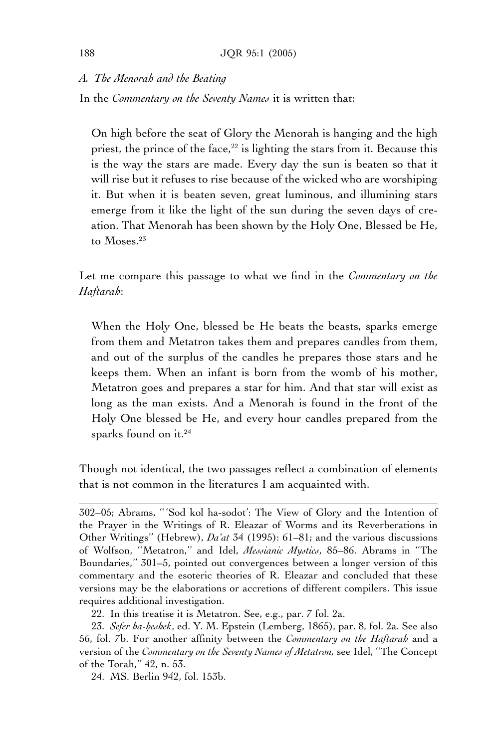*A. The Menorah and the Beating*

In the *Commentary on the Seventy Names* it is written that:

On high before the seat of Glory the Menorah is hanging and the high priest, the prince of the face,<sup>22</sup> is lighting the stars from it. Because this is the way the stars are made. Every day the sun is beaten so that it will rise but it refuses to rise because of the wicked who are worshiping it. But when it is beaten seven, great luminous, and illumining stars emerge from it like the light of the sun during the seven days of creation. That Menorah has been shown by the Holy One, Blessed be He, to Moses.<sup>23</sup>

Let me compare this passage to what we find in the *Commentary on the Haftarah*:

When the Holy One, blessed be He beats the beasts, sparks emerge from them and Metatron takes them and prepares candles from them, and out of the surplus of the candles he prepares those stars and he keeps them. When an infant is born from the womb of his mother, Metatron goes and prepares a star for him. And that star will exist as long as the man exists. And a Menorah is found in the front of the Holy One blessed be He, and every hour candles prepared from the sparks found on it.<sup>24</sup>

Though not identical, the two passages reflect a combination of elements that is not common in the literatures I am acquainted with.

22. In this treatise it is Metatron. See, e.g., par. 7 fol. 2a.

24. MS. Berlin 942, fol. 153b.

<sup>302–05;</sup> Abrams, '' 'Sod kol ha-sodot': The View of Glory and the Intention of the Prayer in the Writings of R. Eleazar of Worms and its Reverberations in Other Writings'' (Hebrew), *Da'at* 34 (1995): 61–81; and the various discussions of Wolfson, ''Metatron,'' and Idel, *Messianic Mystics*, 85–86. Abrams in ''The Boundaries,'' 301–5, pointed out convergences between a longer version of this commentary and the esoteric theories of R. Eleazar and concluded that these versions may be the elaborations or accretions of different compilers. This issue requires additional investigation.

<sup>23.</sup> *Sefer ha-heshek*, ed. Y. M. Epstein (Lemberg, 1865), par. 8, fol. 2a. See also 56, fol. 7b. For another affinity between the *Commentary on the Haftarah* and a version of the *Commentary on the Seventy Names of Metatron,* see Idel, ''The Concept of the Torah,'' 42, n. 53.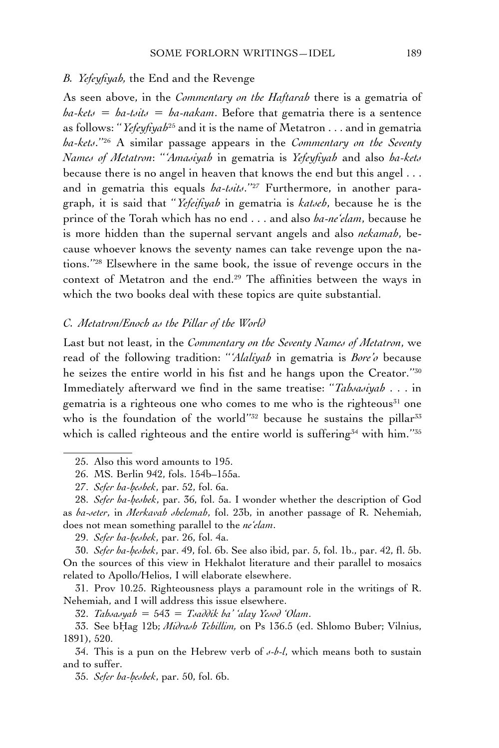#### *B. Yefeyfiyah,* the End and the Revenge

As seen above, in the *Commentary on the Haftarah* there is a gematria of *ha-kets* = *ha-tsits* = *ha-nakam*. Before that gematria there is a sentence as follows: ''*Yefeyfiyah*<sup>25</sup> and it is the name of Metatron . . . and in gematria *ha-kets*.''26 A similar passage appears in the *Commentary on the Seventy Names of Metatron*: ''*'Amasiyah* in gematria is *Yefeyfiyah* and also *ha-kets* because there is no angel in heaven that knows the end but this angel . . . and in gematria this equals *ha-tsits*.<sup>"27</sup> Furthermore, in another paragraph, it is said that ''*Yefeifiyah* in gematria is *katseh*, because he is the prince of the Torah which has no end . . . and also *ha-ne'elam*, because he is more hidden than the supernal servant angels and also *nekamah*, because whoever knows the seventy names can take revenge upon the nations.''28 Elsewhere in the same book, the issue of revenge occurs in the context of Metatron and the end.<sup>29</sup> The affinities between the ways in which the two books deal with these topics are quite substantial.

#### *C. Metatron/Enoch as the Pillar of the World*

Last but not least, in the *Commentary on the Seventy Names of Metatron*, we read of the following tradition: ''*'Alaliyah* in gematria is *Bore'o* because he seizes the entire world in his fist and he hangs upon the Creator.''30 Immediately afterward we find in the same treatise: ''*Tahsasiyah* . . . in gematria is a righteous one who comes to me who is the righteous<sup>31</sup> one who is the foundation of the world" $32$  because he sustains the pillar $33$ which is called righteous and the entire world is suffering<sup>34</sup> with him.<sup>135</sup>

28. *Sefer ha-heshek*, par. 36, fol. 5a. I wonder whether the description of God as *ba-seter*, in *Merkavah shelemah*, fol. 23b, in another passage of R. Nehemiah, does not mean something parallel to the *ne'elam*.

29. *Sefer ha-heshek*, par. 26, fol. 4a.

30. *Sefer ha-h.eshek*, par. 49, fol. 6b. See also ibid, par. 5, fol. 1b., par. 42, fl. 5b. On the sources of this view in Hekhalot literature and their parallel to mosaics related to Apollo/Helios, I will elaborate elsewhere.

31. Prov 10.25. Righteousness plays a paramount role in the writings of R. Nehemiah, and I will address this issue elsewhere.

32. *Tahsasyah* - 543 - *Tsaddik ba' 'alay Yesod 'Olam*.

33. See bHag 12b; *Midrash Tehillim*, on Ps 136.5 (ed. Shlomo Buber; Vilnius, 1891), 520.

34. This is a pun on the Hebrew verb of *s-b-l*, which means both to sustain and to suffer.

35. *Sefer ha-h.eshek*, par. 50, fol. 6b.

<sup>25.</sup> Also this word amounts to 195.

<sup>26.</sup> MS. Berlin 942, fols. 154b–155a.

<sup>27.</sup> *Sefer ha-h.eshek*, par. 52, fol. 6a.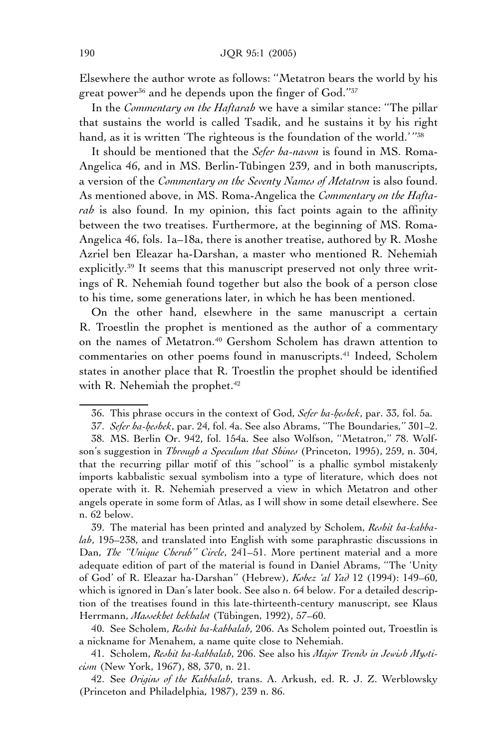Elsewhere the author wrote as follows: ''Metatron bears the world by his great power<sup>36</sup> and he depends upon the finger of God."<sup>37</sup>

In the *Commentary on the Haftarah* we have a similar stance: ''The pillar that sustains the world is called Tsadik, and he sustains it by his right hand, as it is written 'The righteous is the foundation of the world.'"<sup>38</sup>

It should be mentioned that the *Sefer ha-navon* is found in MS. Roma-Angelica 46, and in MS. Berlin-Tübingen 239, and in both manuscripts, a version of the *Commentary on the Seventy Names of Metatron* is also found. As mentioned above, in MS. Roma-Angelica the *Commentary on the Haftarah* is also found. In my opinion, this fact points again to the affinity between the two treatises. Furthermore, at the beginning of MS. Roma-Angelica 46, fols. 1a–18a, there is another treatise, authored by R. Moshe Azriel ben Eleazar ha-Darshan, a master who mentioned R. Nehemiah explicitly.<sup>39</sup> It seems that this manuscript preserved not only three writings of R. Nehemiah found together but also the book of a person close to his time, some generations later, in which he has been mentioned.

On the other hand, elsewhere in the same manuscript a certain R. Troestlin the prophet is mentioned as the author of a commentary on the names of Metatron.40 Gershom Scholem has drawn attention to commentaries on other poems found in manuscripts.<sup>41</sup> Indeed, Scholem states in another place that R. Troestlin the prophet should be identified with R. Nehemiah the prophet.<sup>42</sup>

39. The material has been printed and analyzed by Scholem, *Reshit ha-kabbalah*, 195–238, and translated into English with some paraphrastic discussions in Dan, *The ''Unique Cherub'' Circle*, 241–51. More pertinent material and a more adequate edition of part of the material is found in Daniel Abrams, ''The 'Unity of God' of R. Eleazar ha-Darshan'' (Hebrew), *Kobez 'al Yad* 12 (1994): 149–60, which is ignored in Dan's later book. See also n. 64 below. For a detailed description of the treatises found in this late-thirteenth-century manuscript, see Klaus Herrmann, *Massekhet hekhalot* (Tübingen, 1992), 57–60.

40. See Scholem, *Reshit ha-kabbalah*, 206. As Scholem pointed out, Troestlin is a nickname for Menahem, a name quite close to Nehemiah.

41. Scholem, *Reshit ha-kabbalah*, 206. See also his *Major Trends in Jewish Mysticism* (New York, 1967), 88, 370, n. 21.

42. See *Origins of the Kabbalah*, trans. A. Arkush, ed. R. J. Z. Werblowsky (Princeton and Philadelphia, 1987), 239 n. 86.

<sup>36.</sup> This phrase occurs in the context of God, *Sefer ha-h.eshek*, par. 33, fol. 5a.

<sup>37.</sup> *Sefer ha-heshek*, par. 24, fol. 4a. See also Abrams, "The Boundaries," 301–2.

<sup>38.</sup> MS. Berlin Or. 942, fol. 154a. See also Wolfson, ''Metatron,'' 78. Wolfson's suggestion in *Through a Speculum that Shines* (Princeton, 1995), 259, n. 304, that the recurring pillar motif of this ''school'' is a phallic symbol mistakenly imports kabbalistic sexual symbolism into a type of literature, which does not operate with it. R. Nehemiah preserved a view in which Metatron and other angels operate in some form of Atlas, as I will show in some detail elsewhere. See n. 62 below.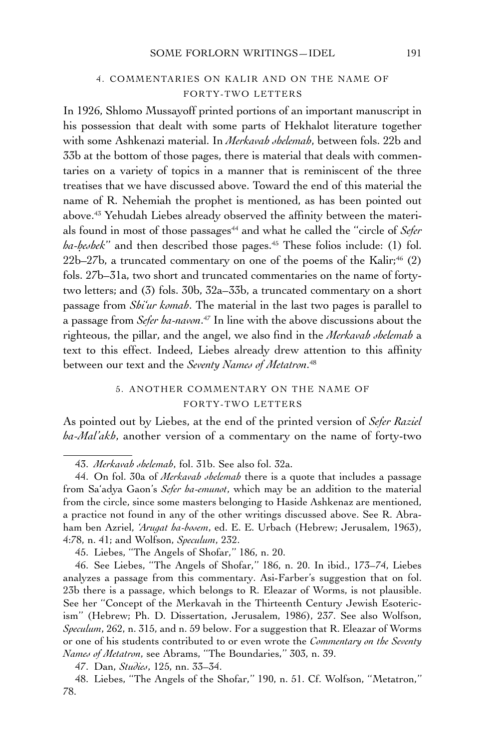## 4. COMMENTARIES ON KALIR AND ON THE NAME OF FORTY-TWO LETTERS

In 1926, Shlomo Mussayoff printed portions of an important manuscript in his possession that dealt with some parts of Hekhalot literature together with some Ashkenazi material. In *Merkavah shelemah*, between fols. 22b and 33b at the bottom of those pages, there is material that deals with commentaries on a variety of topics in a manner that is reminiscent of the three treatises that we have discussed above. Toward the end of this material the name of R. Nehemiah the prophet is mentioned, as has been pointed out above.<sup>43</sup> Yehudah Liebes already observed the affinity between the materials found in most of those passages<sup>44</sup> and what he called the "circle of *Sefer ha-heshek*" and then described those pages.<sup>45</sup> These folios include: (1) fol.  $22b-27b$ , a truncated commentary on one of the poems of the Kalir;<sup>46</sup>  $(2)$ fols. 27b–31a, two short and truncated commentaries on the name of fortytwo letters; and (3) fols. 30b, 32a–33b, a truncated commentary on a short passage from *Shi'ur komah*. The material in the last two pages is parallel to a passage from *Sefer ha-navon*. <sup>47</sup> In line with the above discussions about the righteous, the pillar, and the angel, we also find in the *Merkavah shelemah* a text to this effect. Indeed, Liebes already drew attention to this affinity between our text and the *Seventy Names of Metatron*. 48

## 5. ANOTHER COMMENTARY ON THE NAME OF FORTY-TWO LETTERS

As pointed out by Liebes, at the end of the printed version of *Sefer Raziel ha-Mal'akh*, another version of a commentary on the name of forty-two

47. Dan, *Studies*, 125, nn. 33–34.

<sup>43.</sup> *Merkavah shelemah*, fol. 31b. See also fol. 32a.

<sup>44.</sup> On fol. 30a of *Merkavah shelemah* there is a quote that includes a passage from Sa'adya Gaon's *Sefer ha-emunot*, which may be an addition to the material from the circle, since some masters belonging to Haside Ashkenaz are mentioned, a practice not found in any of the other writings discussed above. See R. Abraham ben Azriel, *'Arugat ha-bosem*, ed. E. E. Urbach (Hebrew; Jerusalem, 1963), 4:78, n. 41; and Wolfson, *Speculum*, 232.

<sup>45.</sup> Liebes, ''The Angels of Shofar,'' 186, n. 20.

<sup>46.</sup> See Liebes, ''The Angels of Shofar,'' 186, n. 20. In ibid., 173–74, Liebes analyzes a passage from this commentary. Asi-Farber's suggestion that on fol. 23b there is a passage, which belongs to R. Eleazar of Worms, is not plausible. See her ''Concept of the Merkavah in the Thirteenth Century Jewish Esotericism'' (Hebrew; Ph. D. Dissertation, Jerusalem, 1986), 237. See also Wolfson, *Speculum*, 262, n. 315, and n. 59 below. For a suggestion that R. Eleazar of Worms or one of his students contributed to or even wrote the *Commentary on the Seventy Names of Metatron*, see Abrams, ''The Boundaries,'' 303, n. 39.

<sup>48.</sup> Liebes, ''The Angels of the Shofar,'' 190, n. 51. Cf. Wolfson, ''Metatron,'' 78.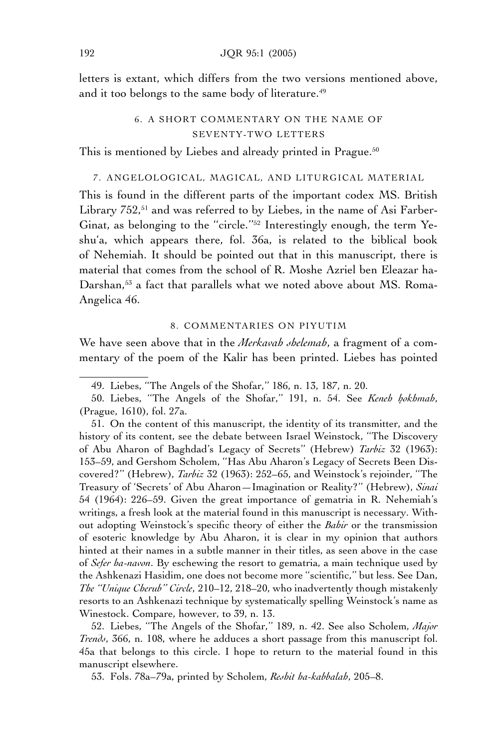letters is extant, which differs from the two versions mentioned above, and it too belongs to the same body of literature.<sup>49</sup>

## 6. A SHORT COMMENTARY ON THE NAME OF SEVENTY-TWO LETTERS

This is mentioned by Liebes and already printed in Prague.<sup>50</sup>

## 7. ANGELOLOGICAL, MAGICAL, AND LITURGICAL MATERIAL

This is found in the different parts of the important codex MS. British Library 752,<sup>51</sup> and was referred to by Liebes, in the name of Asi Farber-Ginat, as belonging to the ''circle.''52 Interestingly enough, the term Yeshu'a, which appears there, fol. 36a, is related to the biblical book of Nehemiah. It should be pointed out that in this manuscript, there is material that comes from the school of R. Moshe Azriel ben Eleazar ha-Darshan,<sup>53</sup> a fact that parallels what we noted above about MS. Roma-Angelica 46.

## 8. COMMENTARIES ON PIYUTIM

We have seen above that in the *Merkavah shelemah*, a fragment of a commentary of the poem of the Kalir has been printed. Liebes has pointed

51. On the content of this manuscript, the identity of its transmitter, and the history of its content, see the debate between Israel Weinstock, ''The Discovery of Abu Aharon of Baghdad's Legacy of Secrets'' (Hebrew) *Tarbiz* 32 (1963): 153–59, and Gershom Scholem, ''Has Abu Aharon's Legacy of Secrets Been Discovered?'' (Hebrew), *Tarbiz* 32 (1963): 252–65, and Weinstock's rejoinder, ''The Treasury of 'Secrets' of Abu Aharon—Imagination or Reality?'' (Hebrew), *Sinai* 54 (1964): 226–59. Given the great importance of gematria in R. Nehemiah's writings, a fresh look at the material found in this manuscript is necessary. Without adopting Weinstock's specific theory of either the *Bahir* or the transmission of esoteric knowledge by Abu Aharon, it is clear in my opinion that authors hinted at their names in a subtle manner in their titles, as seen above in the case of *Sefer ha-navon*. By eschewing the resort to gematria, a main technique used by the Ashkenazi Hasidim, one does not become more ''scientific,'' but less. See Dan, *The ''Unique Cherub'' Circle*, 210–12, 218–20, who inadvertently though mistakenly resorts to an Ashkenazi technique by systematically spelling Weinstock's name as Winestock. Compare, however, to 39, n. 13.

52. Liebes, ''The Angels of the Shofar,'' 189, n. 42. See also Scholem, *Major Trends*, 366, n. 108, where he adduces a short passage from this manuscript fol. 45a that belongs to this circle. I hope to return to the material found in this manuscript elsewhere.

53. Fols. 78a–79a, printed by Scholem, *Reshit ha-kabbalah*, 205–8.

<sup>49.</sup> Liebes, ''The Angels of the Shofar,'' 186, n. 13, 187, n. 20.

<sup>50.</sup> Liebes, "The Angels of the Shofar," 191, n. 54. See *Keneh hokhmah*, (Prague, 1610), fol. 27a.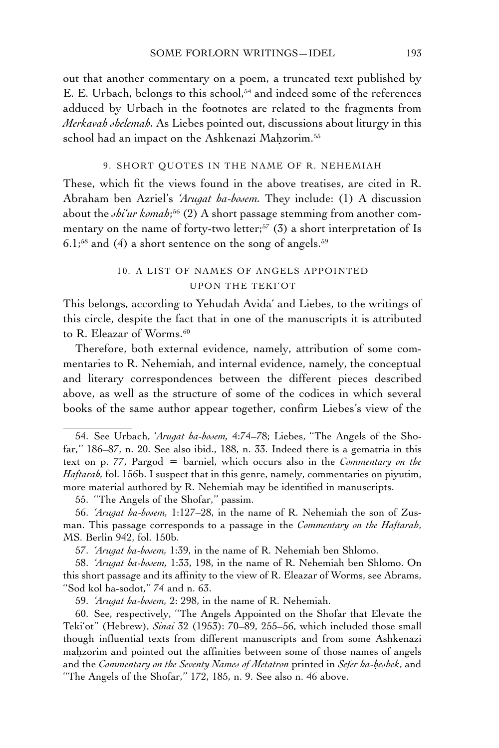out that another commentary on a poem, a truncated text published by E. E. Urbach, belongs to this school,<sup>54</sup> and indeed some of the references adduced by Urbach in the footnotes are related to the fragments from *Merkavah shelemah.* As Liebes pointed out, discussions about liturgy in this school had an impact on the Ashkenazi Mahzorim.<sup>55</sup>

## 9. SHORT QUOTES IN THE NAME OF R. NEHEMIAH

These, which fit the views found in the above treatises, are cited in R. Abraham ben Azriel's *'Arugat ha-bosem.* They include: (1) A discussion about the *shi'ur komah*; <sup>56</sup> (2) A short passage stemming from another commentary on the name of forty-two letter;<sup>57</sup> (3) a short interpretation of Is  $6.1;$ <sup>58</sup> and (4) a short sentence on the song of angels.<sup>59</sup>

## 10. A LIST OF NAMES OF ANGELS APPOINTED UPON THE TEKI'OT

This belongs, according to Yehudah Avida' and Liebes, to the writings of this circle, despite the fact that in one of the manuscripts it is attributed to R. Eleazar of Worms.<sup>60</sup>

Therefore, both external evidence, namely, attribution of some commentaries to R. Nehemiah, and internal evidence, namely, the conceptual and literary correspondences between the different pieces described above, as well as the structure of some of the codices in which several books of the same author appear together, confirm Liebes's view of the

55. ''The Angels of the Shofar,'' passim.

56. *'Arugat ha-bosem,* 1:127–28, in the name of R. Nehemiah the son of Zusman. This passage corresponds to a passage in the *Commentary on the Haftarah*, MS. Berlin 942, fol. 150b.

57. *'Arugat ha-bosem,* 1:39, in the name of R. Nehemiah ben Shlomo.

58. *'Arugat ha-bosem,* 1:33, 198, in the name of R. Nehemiah ben Shlomo. On this short passage and its affinity to the view of R. Eleazar of Worms, see Abrams, ''Sod kol ha-sodot,'' 74 and n. 63.

59. *'Arugat ha-bosem,* 2: 298, in the name of R. Nehemiah.

60. See, respectively, ''The Angels Appointed on the Shofar that Elevate the Teki'ot'' (Hebrew), *Sinai* 32 (1953): 70–89, 255–56, which included those small though influential texts from different manuscripts and from some Ashkenazi mahzorim and pointed out the affinities between some of those names of angels and the *Commentary on the Seventy Names of Metatron* printed in *Sefer ha-heshek*, and "The Angels of the Shofar," 172, 185, n. 9. See also n. 46 above.

<sup>54.</sup> See Urbach, '*Arugat ha-bosem,* 4:74–78; Liebes, ''The Angels of the Shofar,'' 186–87, n. 20. See also ibid., 188, n. 33. Indeed there is a gematria in this text on p. 77, Pargod = barniel, which occurs also in the *Commentary on the Haftarah,* fol. 156b. I suspect that in this genre, namely, commentaries on piyutim, more material authored by R. Nehemiah may be identified in manuscripts.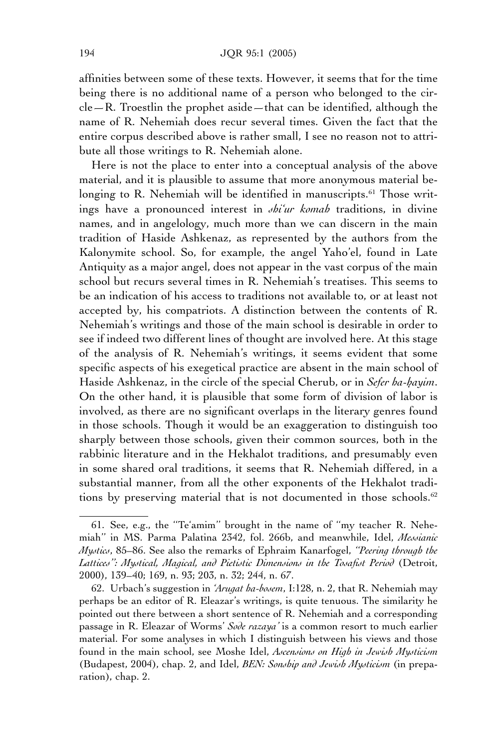affinities between some of these texts. However, it seems that for the time being there is no additional name of a person who belonged to the circle—R. Troestlin the prophet aside—that can be identified, although the name of R. Nehemiah does recur several times. Given the fact that the entire corpus described above is rather small, I see no reason not to attribute all those writings to R. Nehemiah alone.

Here is not the place to enter into a conceptual analysis of the above material, and it is plausible to assume that more anonymous material belonging to R. Nehemiah will be identified in manuscripts.<sup>61</sup> Those writings have a pronounced interest in *shi'ur komah* traditions, in divine names, and in angelology, much more than we can discern in the main tradition of Haside Ashkenaz, as represented by the authors from the Kalonymite school. So, for example, the angel Yaho'el, found in Late Antiquity as a major angel, does not appear in the vast corpus of the main school but recurs several times in R. Nehemiah's treatises. This seems to be an indication of his access to traditions not available to, or at least not accepted by, his compatriots. A distinction between the contents of R. Nehemiah's writings and those of the main school is desirable in order to see if indeed two different lines of thought are involved here. At this stage of the analysis of R. Nehemiah's writings, it seems evident that some specific aspects of his exegetical practice are absent in the main school of Haside Ashkenaz, in the circle of the special Cherub, or in *Sefer ha-hayim*. On the other hand, it is plausible that some form of division of labor is involved, as there are no significant overlaps in the literary genres found in those schools. Though it would be an exaggeration to distinguish too sharply between those schools, given their common sources, both in the rabbinic literature and in the Hekhalot traditions, and presumably even in some shared oral traditions, it seems that R. Nehemiah differed, in a substantial manner, from all the other exponents of the Hekhalot traditions by preserving material that is not documented in those schools.<sup>62</sup>

<sup>61.</sup> See, e.g., the ''Te'amim'' brought in the name of ''my teacher R. Nehemiah'' in MS. Parma Palatina 2342, fol. 266b, and meanwhile, Idel, *Messianic Mystics*, 85–86. See also the remarks of Ephraim Kanarfogel, *''Peering through the Lattices'': Mystical, Magical, and Pietistic Dimensions in the Tosafist Period* (Detroit, 2000), 139–40; 169, n. 93; 203, n. 32; 244, n. 67.

<sup>62.</sup> Urbach's suggestion in *'Arugat ha-bosem*, I:128, n. 2, that R. Nehemiah may perhaps be an editor of R. Eleazar's writings, is quite tenuous. The similarity he pointed out there between a short sentence of R. Nehemiah and a corresponding passage in R. Eleazar of Worms' *Sode razaya'* is a common resort to much earlier material. For some analyses in which I distinguish between his views and those found in the main school, see Moshe Idel, *Ascensions on High in Jewish Mysticism* (Budapest, 2004), chap. 2, and Idel, *BEN: Sonship and Jewish Mysticism* (in preparation), chap. 2.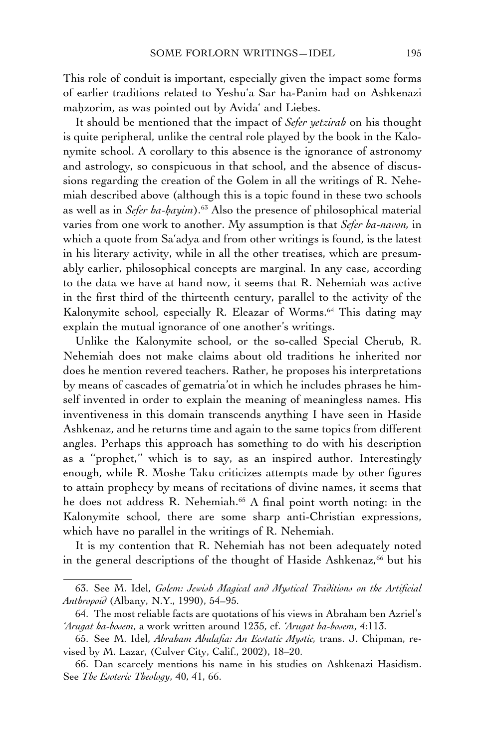This role of conduit is important, especially given the impact some forms of earlier traditions related to Yeshu'a Sar ha-Panim had on Ashkenazi mahzorim, as was pointed out by Avida' and Liebes.

It should be mentioned that the impact of *Sefer yetzirah* on his thought is quite peripheral, unlike the central role played by the book in the Kalonymite school. A corollary to this absence is the ignorance of astronomy and astrology, so conspicuous in that school, and the absence of discussions regarding the creation of the Golem in all the writings of R. Nehemiah described above (although this is a topic found in these two schools as well as in *Sefer ha-hayim*).<sup>63</sup> Also the presence of philosophical material varies from one work to another. My assumption is that *Sefer ha-navon,* in which a quote from Sa'adya and from other writings is found, is the latest in his literary activity, while in all the other treatises, which are presumably earlier, philosophical concepts are marginal. In any case, according to the data we have at hand now, it seems that R. Nehemiah was active in the first third of the thirteenth century, parallel to the activity of the Kalonymite school, especially R. Eleazar of Worms.<sup>64</sup> This dating may explain the mutual ignorance of one another's writings.

Unlike the Kalonymite school, or the so-called Special Cherub, R. Nehemiah does not make claims about old traditions he inherited nor does he mention revered teachers. Rather, he proposes his interpretations by means of cascades of gematria'ot in which he includes phrases he himself invented in order to explain the meaning of meaningless names. His inventiveness in this domain transcends anything I have seen in Haside Ashkenaz, and he returns time and again to the same topics from different angles. Perhaps this approach has something to do with his description as a ''prophet,'' which is to say, as an inspired author. Interestingly enough, while R. Moshe Taku criticizes attempts made by other figures to attain prophecy by means of recitations of divine names, it seems that he does not address R. Nehemiah.<sup>65</sup> A final point worth noting: in the Kalonymite school, there are some sharp anti-Christian expressions, which have no parallel in the writings of R. Nehemiah.

It is my contention that R. Nehemiah has not been adequately noted in the general descriptions of the thought of Haside Ashkenaz,<sup>66</sup> but his

<sup>63.</sup> See M. Idel, *Golem: Jewish Magical and Mystical Traditions on the Artificial Anthropoid* (Albany, N.Y., 1990), 54–95.

<sup>64.</sup> The most reliable facts are quotations of his views in Abraham ben Azriel's *'Arugat ha-bosem*, a work written around 1235, cf. *'Arugat ha-bosem*, 4:113.

<sup>65.</sup> See M. Idel, *Abraham Abulafia: An Ecstatic Mystic,* trans. J. Chipman, revised by M. Lazar, (Culver City, Calif., 2002), 18–20.

<sup>66.</sup> Dan scarcely mentions his name in his studies on Ashkenazi Hasidism. See *The Esoteric Theology*, 40, 41, 66.